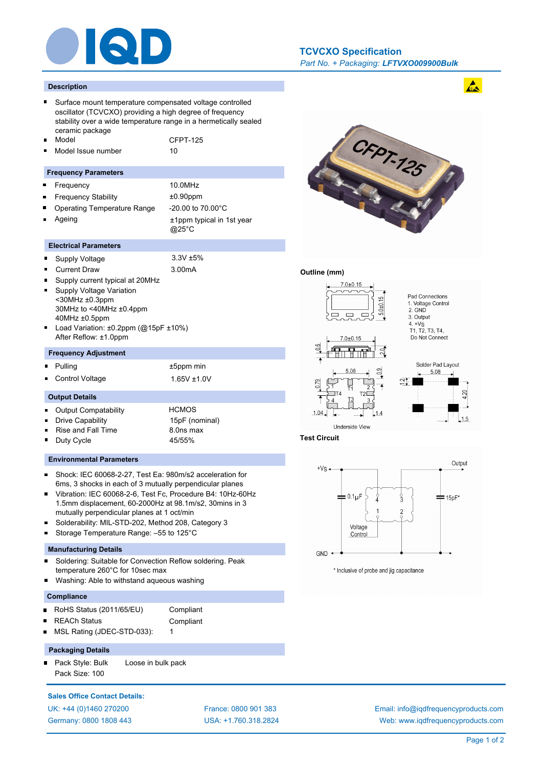

# *Part No. + Packaging: LFTVXO009900Bulk* **TCVCXO Specification**

 $\mathbf{A}$ 

**Description**

- Surface mount temperature compensated voltage controlled oscillator (TCVCXO) providing a high degree of frequency stability over a wide temperature range in a hermetically sealed ceramic package
- Model CFPT-125
- Model Issue number 10

## **Frequency Parameters**

- $\blacksquare$ Frequency 10.0MHz Frequency Stability ±0.90ppm Operating Temperature Range -20.00 to 70.00°C
- Ageing the theorem of the throuble the typical in 1st year Ë @25°C

## **Electrical Parameters**

- $\blacksquare$ Supply Voltage 3.3V ±5%
- Current Draw 3.00mA
- ä, Supply current typical at 20MHz Supply Voltage Variation n. <30MHz ±0.3ppm 30MHz to <40MHz ±0.4ppm
- 40MHz ±0.5ppm Load Variation: ±0.2ppm (@15pF ±10%) After Reflow: ±1.0ppm

#### **Frequency Adjustment**

- Pulling **Example 1** and the E5ppm min
- Control Voltage 1.65V ±1.0V

#### **Output Details**

- Output Compatability HCMOS  $\blacksquare$
- Drive Capability 15pF (nominal)
- Rise and Fall Time 8.0ns max
- Duty Cycle 45/55%

#### **Environmental Parameters**

- $\blacksquare$ Shock: IEC 60068-2-27, Test Ea: 980m/s2 acceleration for 6ms, 3 shocks in each of 3 mutually perpendicular planes
- Vibration: IEC 60068-2-6, Test Fc, Procedure B4: 10Hz-60Hz  $\blacksquare$ 1.5mm displacement, 60-2000Hz at 98.1m/s2, 30mins in 3 mutually perpendicular planes at 1 oct/min
- Solderability: MIL-STD-202, Method 208, Category 3 п
- $\blacksquare$ Storage Temperature Range: –55 to 125°C

#### **Manufacturing Details**

- Soldering: Suitable for Convection Reflow soldering. Peak n temperature 260°C for 10sec max
- Washing: Able to withstand aqueous washing

## **Compliance**

- $\blacksquare$ RoHS Status (2011/65/EU) Compliant
- REACh Status **Compliant** 
	- MSL Rating (JDEC-STD-033):

# **Packaging Details**

Pack Style: Bulk Loose in bulk pack m. Pack Size: 100

## **Sales Office Contact Details:**

UK: +44 (0)1460 270200 France: 0800 901 383 Germany: 0800 1808 443

USA: +1.760.318.2824



#### **Outline (mm)**



**Test Circuit**



\* Inclusive of probe and jig capacitance

Email: info@iqdfrequencyproducts.com Web: www.iqdfrequencyproducts.com